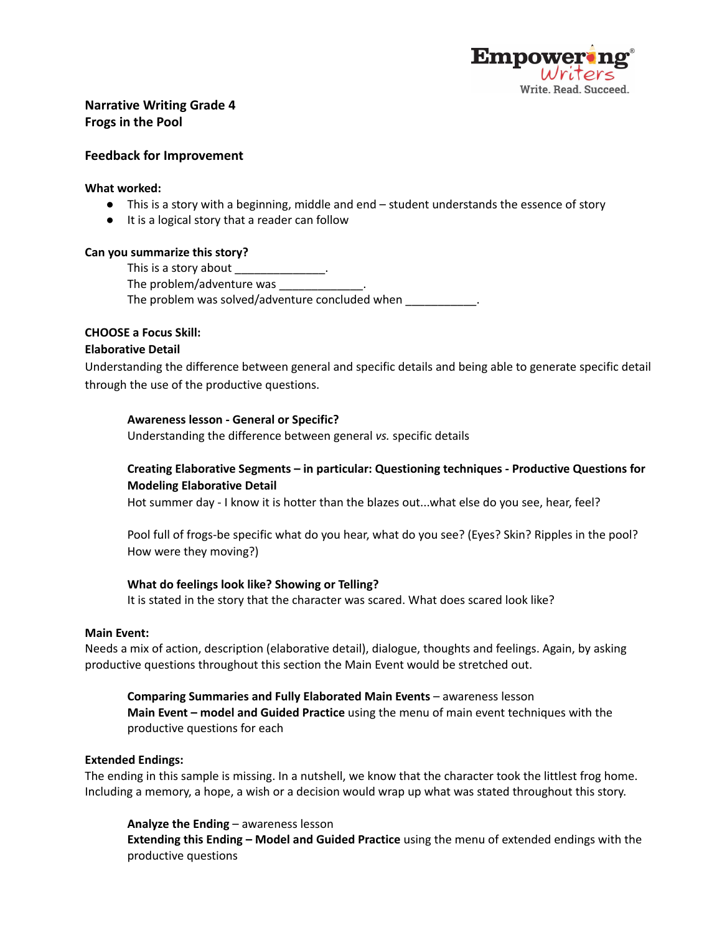

# **Narrative Writing Grade 4 Frogs in the Pool**

# **Feedback for Improvement**

### **What worked:**

- This is a story with a beginning, middle and end student understands the essence of story
- It is a logical story that a reader can follow

## **Can you summarize this story?**

This is a story about The problem/adventure was

The problem was solved/adventure concluded when  $\blacksquare$ 

# **CHOOSE a Focus Skill:**

## **Elaborative Detail**

Understanding the difference between general and specific details and being able to generate specific detail through the use of the productive questions.

## **Awareness lesson - General or Specific?**

Understanding the difference between general *vs.* specific details

# **Creating Elaborative Segments – in particular: Questioning techniques - Productive Questions for Modeling Elaborative Detail**

Hot summer day - I know it is hotter than the blazes out...what else do you see, hear, feel?

Pool full of frogs-be specific what do you hear, what do you see? (Eyes? Skin? Ripples in the pool? How were they moving?)

#### **What do feelings look like? Showing or Telling?**

It is stated in the story that the character was scared. What does scared look like?

#### **Main Event:**

Needs a mix of action, description (elaborative detail), dialogue, thoughts and feelings. Again, by asking productive questions throughout this section the Main Event would be stretched out.

**Comparing Summaries and Fully Elaborated Main Events** – awareness lesson **Main Event – model and Guided Practice** using the menu of main event techniques with the productive questions for each

#### **Extended Endings:**

The ending in this sample is missing. In a nutshell, we know that the character took the littlest frog home. Including a memory, a hope, a wish or a decision would wrap up what was stated throughout this story.

**Analyze the Ending** – awareness lesson

**Extending this Ending – Model and Guided Practice** using the menu of extended endings with the productive questions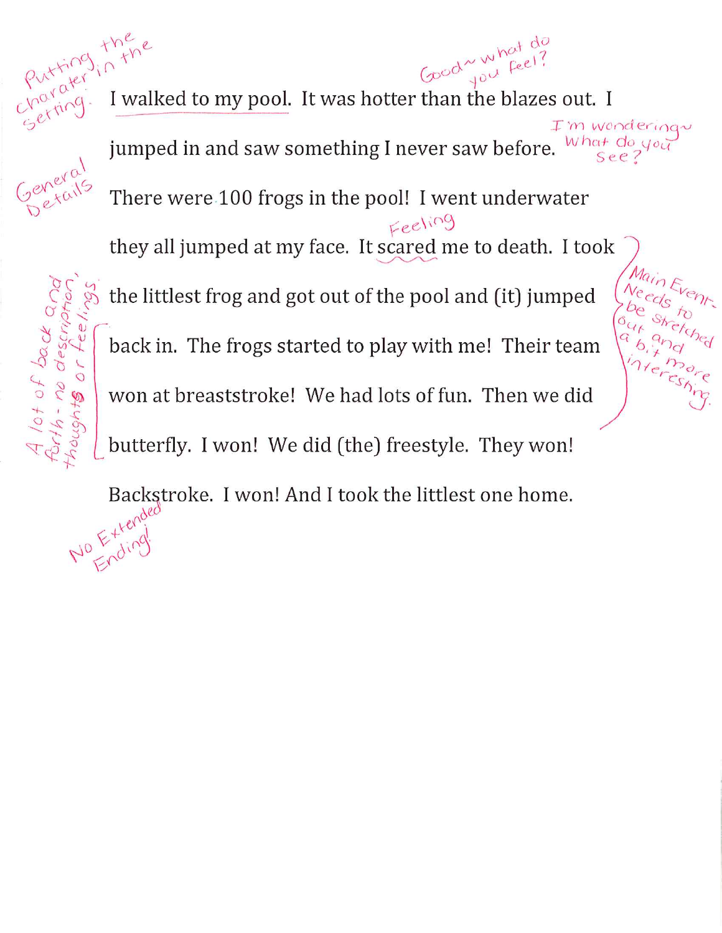Putting, there Good what do<br>Good you feel? I walked to my pool. It was hotter than the blazes out. I I'm wondering jumped in and saw something I never saw before. What do you There were 100 frogs in the pool! I went underwater Feeling they all jumped at my face. It scared me to death. I took the littlest frog and got out of the pool and (it) jumped back in. The frogs started to play with me! Their team won at breaststroke! We had lots of fun. Then we did butterfly. I won! We did (the) freestyle. They won!

Backstroke. I won! And I took the littlest one home. No Expling

A lot of back and<br>forth - no description<br>thoughts or feel.

tee,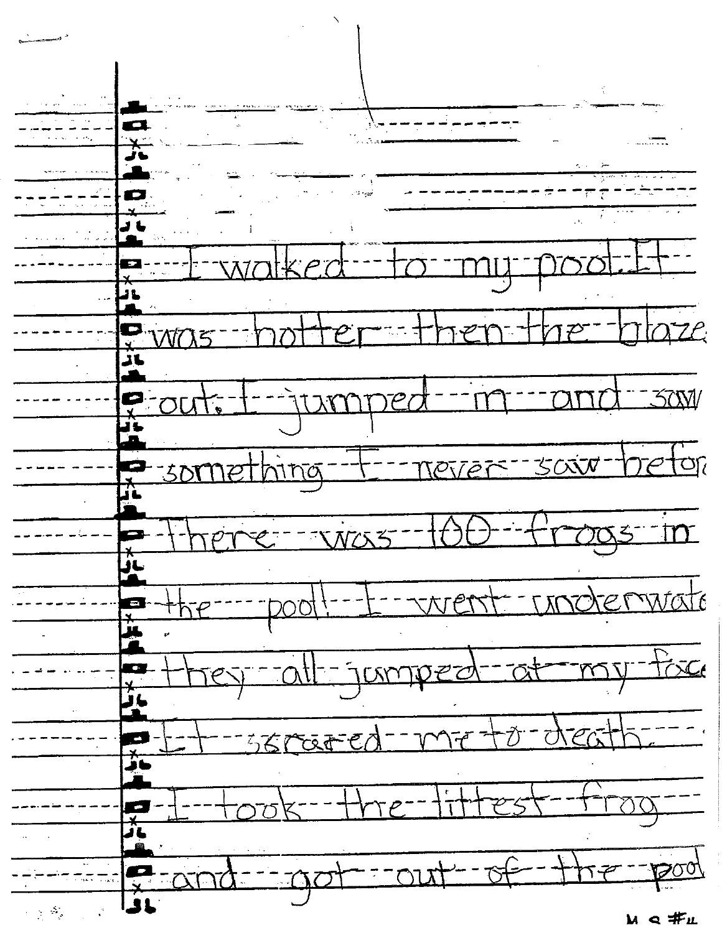$\mathcal{P}^{\ast}$ — — 1 rtoze ĴĹ  $500/$ TUM ح-پ  $797$ retor  $-$ -never-sairring- $-501$  $2 - 20005$  $\frac{1}{2005}$  in - underwate  $-1 - \sqrt{N}eN$ 医半型 <u>+5e-----</u> <u>-my-fixe</u> <u>-all-jumper</u>  $=$  $\varepsilon$ A drea 560000  $\gamma$  $-4175$ <u>-- 1500,</u>  $-\circledA$ <u>out</u>  $-10$  $-7 -$ <u>राज</u> ग  $\sum_{i=1}^N\frac{1}{i!}\sum_{j=1}^N\frac{1}{j!}\sum_{j=1}^N\frac{1}{j!}\sum_{j=1}^N\frac{1}{j!}\sum_{j=1}^N\frac{1}{j!}\sum_{j=1}^N\frac{1}{j!}\sum_{j=1}^N\frac{1}{j!}\sum_{j=1}^N\frac{1}{j!}\sum_{j=1}^N\frac{1}{j!}\sum_{j=1}^N\frac{1}{j!}\sum_{j=1}^N\frac{1}{j!}\sum_{j=1}^N\frac{1}{j!}\sum_{j=1}^N\frac{1}{j!}\sum_{j=1}^N\frac{$ м < #д